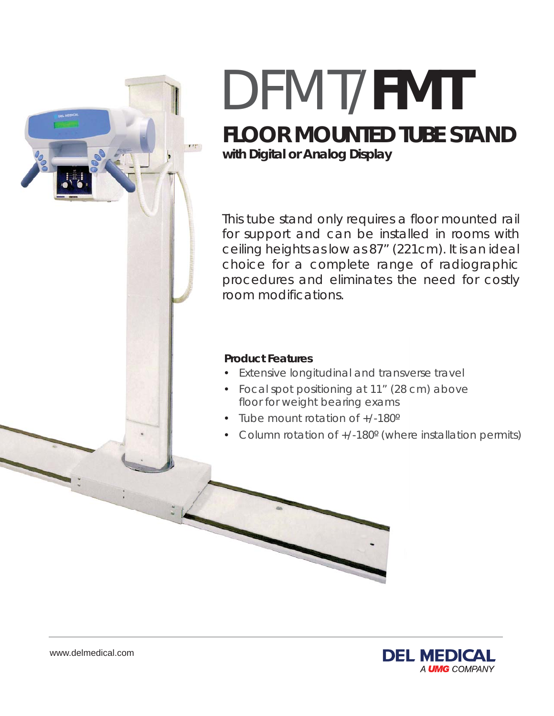

# **FLOOR MOUNTED TUBE STAND** DFMT/**FMT**

**with Digital or Analog Display**

This tube stand only requires a floor mounted rail for support and can be installed in rooms with ceiling heights as low as 87" (221cm). It is an ideal choice for a complete range of radiographic procedures and eliminates the need for costly room modifications.

#### **Product Features**

- Extensive longitudinal and transverse travel
- Focal spot positioning at 11" (28 cm) above floor for weight bearing exams
- Tube mount rotation of +/-180º
- Column rotation of +/-180º (where installation permits)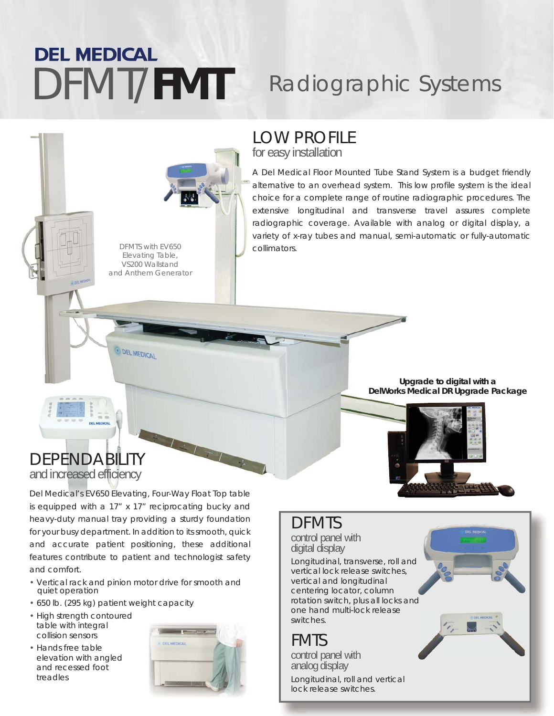### **DEL MEDICAL** DFMT/FMT Radiographic Systems

#### LOW PROFILE for easy installation

A Del Medical Floor Mounted Tube Stand System is a budget friendly alternative to an overhead system. This low profile system is the ideal choice for a complete range of routine radiographic procedures. The extensive longitudinal and transverse travel assures complete radiographic coverage. Available with analog or digital display, a variety of x-ray tubes and manual, semi-automatic or fully-automatic collimators.

*DFMTS with EV650 Elevating Table, VS200 Wallstand and Anthem Generator*

O DEL MEDICAL

## DEPENDABILITY

and increased efficiency

Del Medical's EV650 Elevating, Four-Way Float Top table is equipped with a 17" x 17" reciprocating bucky and heavy-duty manual tray providing a sturdy foundation for your busy department. In addition to its smooth, quick and accurate patient positioning, these additional features contribute to patient and technologist safety and comfort.

- Vertical rack and pinion motor drive for smooth and quiet operation
- 650 lb. (295 kg) patient weight capacity
- High strength contoured table with integral collision sensors
- Hands free table elevation with angled and recessed foot treadles



#### **Upgrade to digital with a DelWorks Medical DR Upgrade Package**



#### DFMTS

control panel with digital display

Longitudinal, transverse, roll and vertical lock release switches, vertical and longitudinal centering locator, column rotation switch, plus all locks and one hand multi-lock release switches.

#### FMTS

Longitudinal, roll and vertical lock release switches. control panel with analog display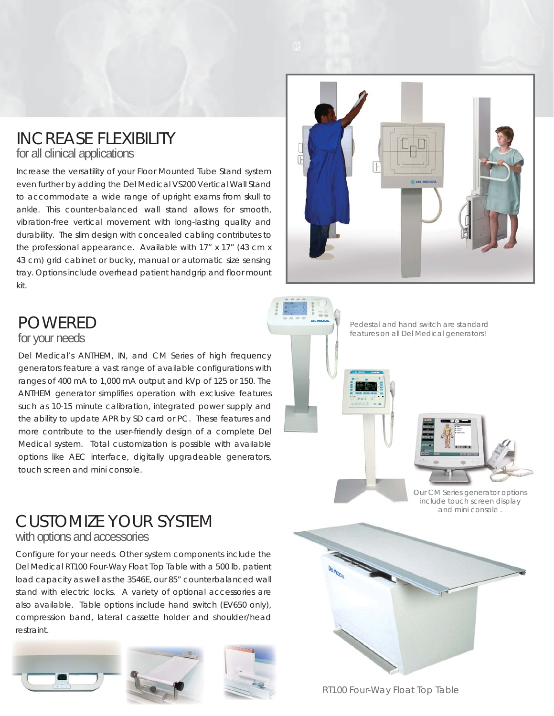### INCREASE FLEXIBILITY

for all clinical applications

Increase the versatility of your Floor Mounted Tube Stand system even further by adding the Del Medical VS200 Vertical Wall Stand to accommodate a wide range of upright exams from skull to ankle. This counter-balanced wall stand allows for smooth, vibration-free vertical movement with long-lasting quality and durability. The slim design with concealed cabling contributes to the professional appearance. Available with 17" x 17" (43 cm x 43 cm) grid cabinet or bucky, manual or automatic size sensing tray. Options include overhead patient handgrip and floor mount kit.



#### POWERED

#### for your needs

Del Medical's ANTHEM, IN, and CM Series of high frequency generators feature a vast range of available configurations with ranges of 400 mA to 1,000 mA output and kVp of 125 or 150. The ANTHEM generator simplifies operation with exclusive features such as 10-15 minute calibration, integrated power supply and such as 10-15 minute calibration, integrated power supply and<br>the ability to update APR by SD card or PC. These features and more contribute to the user-friendly design of a complete Del more contribute to the user-friendly design of a complete Del<br>Medical system. Total customization is possible with available options like AEC interface, digitally upgradeable generators, touch screen and mini console. ns with<br>50. The<br>eatures

*Pedestal and hand switch are standard features on all Del Medical generators!*



*Our CM Series generator options include touch screen display and mini console .*

#### CUSTOMIZE YOUR SYSTEM with options and accessories

Configure for your needs. Other system components include the Del Medical RT100 Four-Way Float Top Table with a 500 lb. patient load capacity as well as the 3546E, our 85" counterbalanced wall stand with electric locks. A variety of optional accessories are also available. Table options include hand switch (EV650 only), compression band, lateral cassette holder and shoulder/head restraint.









*RT100 Four-Way Float Top Table*